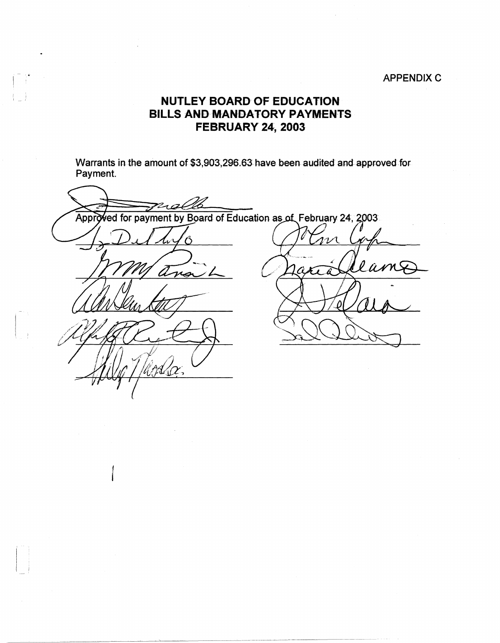## **APPENDIX C**

## **NUTLEY BOARD OF EDUCATION BILLS ANBMANDATORY PAYMENTS FEBRUARY 24, 2003**

 $\mathbf{I} = \mathbf{I}$ 

Warrants in the amount of \$3,903,296.63 have been audited and approved for Payment.

 $21/21$ Approved for payment by Board of Education as of February 24, 2003.  $\nu\Lambda$ D  $\boldsymbol{\varkappa}$ ar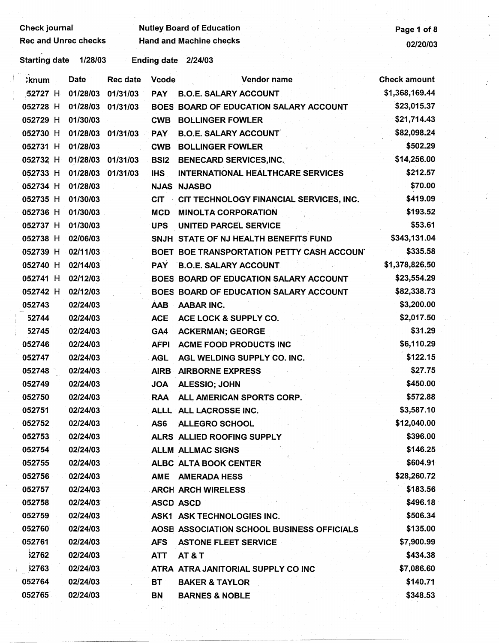Check journal **Check is a constructed by Autley Board of Education** Page 1 of 8<br>Rec and Unrec checks **Page 1 of 8**<br>Page 1 of 8

**Hand and Machine checks** 02/20/03

- Starting date 1/28/03 Ending date 2/24/03

| <b>knum</b> | <b>Date</b>       | Rec date | <b>Vcode</b> | Vendor name                                       | <b>Check amount</b> |
|-------------|-------------------|----------|--------------|---------------------------------------------------|---------------------|
| 52727 H     | 01/28/03          | 01/31/03 | <b>PAY</b>   | <b>B.O.E. SALARY ACCOUNT</b>                      | \$1,368,169.44      |
| 052728 H    | 01/28/03 01/31/03 |          |              | BOES BOARD OF EDUCATION SALARY ACCOUNT            | \$23,015.37         |
| 052729 H    | 01/30/03          |          | <b>CWB</b>   | <b>BOLLINGER FOWLER</b>                           | \$21,714.43         |
| 052730 H    | 01/28/03          | 01/31/03 | <b>PAY</b>   | <b>B.O.E. SALARY ACCOUNT</b>                      | \$82,098.24         |
| 052731 H    | 01/28/03          |          | <b>CWB</b>   | <b>BOLLINGER FOWLER</b>                           | \$502.29            |
| 052732 H    | 01/28/03 01/31/03 |          | <b>BSI2</b>  | <b>BENECARD SERVICES, INC.</b>                    | \$14,256.00         |
| 052733 H    | 01/28/03          | 01/31/03 | <b>IHS</b>   | <b>INTERNATIONAL HEALTHCARE SERVICES</b>          | \$212.57            |
| 052734 H    | 01/28/03          |          |              | <b>NJAS NJASBO</b>                                | \$70.00             |
| 052735 H    | 01/30/03          |          | <b>CIT</b>   | CIT TECHNOLOGY FINANCIAL SERVICES, INC.           | \$419.09            |
| 052736 H    | 01/30/03          |          | <b>MCD</b>   | <b>MINOLTA CORPORATION</b>                        | \$193.52            |
| 052737 H    | 01/30/03          |          | <b>UPS</b>   | UNITED PARCEL SERVICE                             | \$53.61             |
| 052738 H    | 02/06/03          |          |              | SNJH STATE OF NJ HEALTH BENEFITS FUND             | \$343,131.04        |
| 052739 H    | 02/11/03          |          |              | BOET BOE TRANSPORTATION PETTY CASH ACCOUN'        | \$335.58            |
| 052740 H    | 02/14/03          |          | <b>PAY</b>   | <b>B.O.E. SALARY ACCOUNT</b>                      | \$1,378,826.50      |
| 052741 H    | 02/12/03          |          |              | BOES BOARD OF EDUCATION SALARY ACCOUNT            | \$23,554.29         |
| 052742 H    | 02/12/03          |          |              | BOES BOARD OF EDUCATION SALARY ACCOUNT            | \$82,338.73         |
| 052743      | 02/24/03          |          | <b>AAB</b>   | <b>AABAR INC.</b>                                 | \$3,200.00          |
| 52744       | 02/24/03          |          | <b>ACE</b>   | ACE LOCK & SUPPLY CO.                             | \$2,017.50          |
| 52745       | 02/24/03          |          | GA4          | <b>ACKERMAN; GEORGE</b>                           | \$31.29             |
| 052746      | 02/24/03          |          | <b>AFPI</b>  | ACME FOOD PRODUCTS INC                            | \$6,110.29          |
| 052747      | 02/24/03          |          | <b>AGL</b>   | AGL WELDING SUPPLY CO. INC.                       | \$122.15            |
| 052748      | 02/24/03          |          | <b>AIRB</b>  | <b>AIRBORNE EXPRESS</b>                           | \$27.75             |
| 052749      | 02/24/03          |          | <b>JOA</b>   | <b>ALESSIO; JOHN</b>                              | \$450.00            |
| 052750      | 02/24/03          |          | <b>RAA</b>   | ALL AMERICAN SPORTS CORP.                         | \$572.88            |
| 052751      | 02/24/03          |          |              | ALLL ALL LACROSSE INC.                            | \$3,587.10          |
| 052752      | 02/24/03          |          | AS6          | <b>ALLEGRO SCHOOL</b>                             | \$12,040.00         |
| 052753      | 02/24/03          |          |              | ALRS ALLIED ROOFING SUPPLY                        | \$396.00            |
| 052754      | 02/24/03          |          |              | <b>ALLM ALLMAC SIGNS</b>                          | \$146.25            |
| 052755      | 02/24/03          |          |              | ALBC ALTA BOOK CENTER                             | \$604.91            |
| 052756      | 02/24/03          |          | <b>AME</b>   | <b>AMERADA HESS</b>                               | \$28,260.72         |
| 052757      | 02/24/03          |          |              | <b>ARCH ARCH WIRELESS</b>                         | \$183.56            |
| 052758      | 02/24/03          |          |              | <b>ASCD ASCD</b>                                  | \$496.18            |
| 052759      | 02/24/03          |          |              | <b>ASK1 ASK TECHNOLOGIES INC.</b>                 | \$506.34            |
| 052760      | 02/24/03          |          |              | <b>AOSE ASSOCIATION SCHOOL BUSINESS OFFICIALS</b> | \$135.00            |
| 052761      | 02/24/03          |          | <b>AFS</b>   | <b>ASTONE FLEET SERVICE</b>                       | \$7,900.99          |
| 52762       | 02/24/03          |          | <b>ATT</b>   | <b>AT &amp; T</b>                                 | \$434.38            |
| 52763       | 02/24/03          |          |              | ATRA ATRA JANITORIAL SUPPLY CO INC                | \$7,086.60          |
| 052764      | 02/24/03          |          | BТ           | <b>BAKER &amp; TAYLOR</b>                         | \$140.71            |
| 052765      | 02/24/03          |          | <b>BN</b>    | <b>BARNES &amp; NOBLE</b>                         | \$348.53            |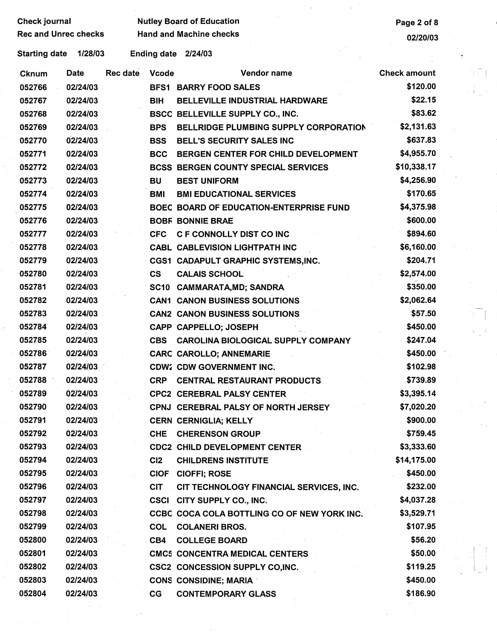Check journal **Check is a Check journal Check** in the Nutley Board of Education **Page 2 of 8** Check in the Page 2 of 8

 $\vert$  .

Rec and Unrec checks Hand and Machine checks **Exercise 2012/20/03** and Machine checks **1998** 

| Starting date | 1/28/03  |                 | <b>Ending date</b> | 2/24/03                                        |                     |
|---------------|----------|-----------------|--------------------|------------------------------------------------|---------------------|
| <b>Cknum</b>  | Date     | <b>Rec date</b> | <b>Vcode</b>       | Vendor name                                    | <b>Check amount</b> |
| 052766        | 02/24/03 |                 |                    | <b>BFS1 BARRY FOOD SALES</b>                   | \$120.00            |
| 052767        | 02/24/03 |                 | <b>BIH</b>         | <b>BELLEVILLE INDUSTRIAL HARDWARE</b>          | \$22.15             |
| 052768        | 02/24/03 |                 |                    | <b>BSCC BELLEVILLE SUPPLY CO., INC.</b>        | \$83.62             |
| 052769        | 02/24/03 |                 | <b>BPS</b>         | BELLRIDGE PLUMBING SUPPLY CORPORATION          | \$2,131.63          |
| 052770        | 02/24/03 |                 | <b>BSS</b>         | <b>BELL'S SECURITY SALES INC</b>               | \$637.83            |
| 052771        | 02/24/03 |                 | <b>BCC</b>         | BERGEN CENTER FOR CHILD DEVELOPMENT            | \$4,955.70          |
| 052772        | 02/24/03 |                 |                    | <b>BCSS BERGEN COUNTY SPECIAL SERVICES</b>     | \$10,338.17         |
| 052773        | 02/24/03 |                 | <b>BU</b>          | <b>BEST UNIFORM</b>                            | \$4,256.90          |
| 052774        | 02/24/03 |                 | <b>BMI</b>         | <b>BMI EDUCATIONAL SERVICES</b>                | \$170.65            |
| 052775        | 02/24/03 |                 |                    | <b>BOEC BOARD OF EDUCATION-ENTERPRISE FUND</b> | \$4,375.98          |
| 052776        | 02/24/03 |                 |                    | <b>BOBF BONNIE BRAE</b>                        | \$600.00            |
| 052777        | 02/24/03 |                 | <b>CFC</b>         | C F CONNOLLY DIST CO INC                       | \$894.60            |
| 052778        | 02/24/03 |                 |                    | <b>CABL CABLEVISION LIGHTPATH INC</b>          | \$6,160.00          |
| 052779        | 02/24/03 |                 |                    | CGS1 CADAPULT GRAPHIC SYSTEMS, INC.            | \$204.71            |
| 052780        | 02/24/03 |                 | $\mathsf{cs}$      | <b>CALAIS SCHOOL</b>                           | \$2,574.00          |
| 052781        | 02/24/03 |                 | SC <sub>10</sub>   | <b>CAMMARATA, MD; SANDRA</b>                   | \$350.00            |
| 052782        | 02/24/03 |                 |                    | <b>CAN1 CANON BUSINESS SOLUTIONS</b>           | \$2,062.64          |
| 052783        | 02/24/03 |                 |                    | <b>CAN2 CANON BUSINESS SOLUTIONS</b>           | \$57.50             |
| 052784        | 02/24/03 |                 |                    | CAPP CAPPELLO; JOSEPH                          | \$450.00            |
| 052785        | 02/24/03 |                 | <b>CBS</b>         | <b>CAROLINA BIOLOGICAL SUPPLY COMPANY</b>      | \$247.04            |
| 052786        | 02/24/03 |                 |                    | <b>CARC CAROLLO; ANNEMARIE</b>                 | \$450.00            |
| 052787        | 02/24/03 |                 |                    | <b>CDW2 CDW GOVERNMENT INC.</b>                | \$102.98            |
| 052788        | 02/24/03 |                 | <b>CRP</b>         | <b>CENTRAL RESTAURANT PRODUCTS</b>             | \$739.89            |
| 052789        | 02/24/03 |                 |                    | <b>CPC2 CEREBRAL PALSY CENTER</b>              | \$3,395.14          |
| 052790        | 02/24/03 |                 |                    | <b>CPNJ CEREBRAL PALSY OF NORTH JERSEY</b>     | \$7,020.20          |
| 052791        | 02/24/03 |                 |                    | <b>CERN CERNIGLIA; KELLY</b>                   | \$900.00            |
| 052792        | 02/24/03 |                 | <b>CHE</b>         | <b>CHERENSON GROUP</b>                         | \$759.45            |
| 052793        | 02/24/03 |                 |                    | <b>CDC2 CHILD DEVELOPMENT CENTER</b>           | \$3,333.60          |
| 052794        | 02/24/03 |                 | C <sub>12</sub>    | <b>CHILDRENS INSTITUTE</b>                     | \$14,175.00         |
| 052795        | 02/24/03 |                 | <b>CIOF</b>        | <b>CIOFFI; ROSE</b>                            | \$450.00            |
| 052796        | 02/24/03 |                 | <b>CIT</b>         | CIT TECHNOLOGY FINANCIAL SERVICES, INC.        | \$232.00            |
| 052797        | 02/24/03 |                 | CSCI               | CITY SUPPLY CO., INC.                          | \$4,037.28          |
| 052798        | 02/24/03 |                 |                    | CCBC COCA COLA BOTTLING CO OF NEW YORK INC.    | \$3,529.71          |

052799 02/24/03 COL COLANERI BROS. \$107.95 052800 02/24/03 CB4 COLLEGE BOARD \$56.20 052801 02/24/03 CMC5 CONCENTRA MEDICAL CENTERS \$50.00 052802 02/24/03 CSC2 CONCESSION SUPPLY CO,INC. \$119.25 <sup>I</sup>

052803 02/24/03 CONS CONSIDINE; **MARIA** · \$450.00 052804 02/24/03 CG CONTEMPORARY GLASS \$186.90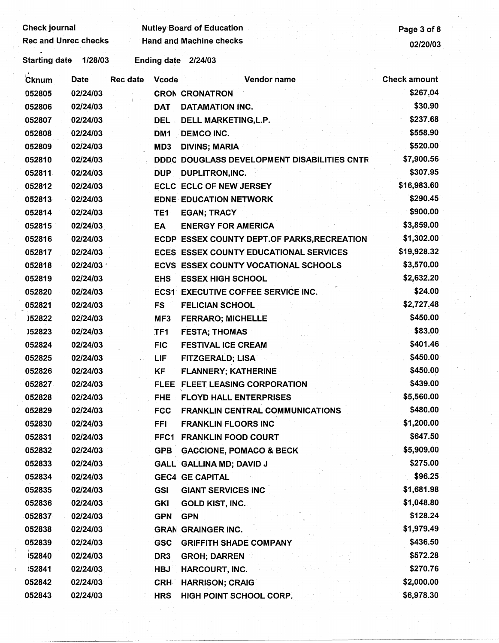| <b>Check journal</b>        |          |                 |                    | <b>Nutley Board of Education</b>              | Page 3 of 8         |
|-----------------------------|----------|-----------------|--------------------|-----------------------------------------------|---------------------|
| <b>Rec and Unrec checks</b> |          |                 |                    | <b>Hand and Machine checks</b>                | 02/20/03            |
| <b>Starting date</b>        | 1/28/03  |                 | <b>Ending date</b> | 2/24/03                                       |                     |
| Cknum                       | Date     | <b>Rec date</b> | <b>Vcode</b>       | Vendor name                                   | <b>Check amount</b> |
| 052805                      | 02/24/03 |                 |                    | <b>CRON CRONATRON</b>                         | \$267.04            |
| 052806                      | 02/24/03 |                 | <b>DAT</b>         | <b>DATAMATION INC.</b>                        | \$30.90             |
| 052807                      | 02/24/03 |                 | <b>DEL</b>         | DELL MARKETING, L.P.                          | \$237.68            |
| 052808                      | 02/24/03 |                 | DM <sub>1</sub>    | <b>DEMCO INC.</b>                             | \$558.90            |
| 052809                      | 02/24/03 |                 | MD <sub>3</sub>    | <b>DIVINS; MARIA</b>                          | \$520.00            |
| 052810                      | 02/24/03 |                 |                    | DDDC DOUGLASS DEVELOPMENT DISABILITIES CNTR   | \$7,900.56          |
| 052811                      | 02/24/03 |                 | <b>DUP</b>         | DUPLITRON, INC.                               | \$307.95            |
| 052812                      | 02/24/03 |                 |                    | <b>ECLC ECLC OF NEW JERSEY</b>                | \$16,983.60         |
| 052813                      | 02/24/03 |                 |                    | <b>EDNE EDUCATION NETWORK</b>                 | \$290.45            |
| 052814                      | 02/24/03 |                 | TE1                | <b>EGAN, TRACY</b>                            | \$900.00            |
| 052815                      | 02/24/03 |                 | ΕA                 | <b>ENERGY FOR AMERICA</b>                     | \$3,859.00          |
| 052816                      | 02/24/03 |                 |                    | ECDP ESSEX COUNTY DEPT.OF PARKS, RECREATION   | \$1,302.00          |
| 052817                      | 02/24/03 |                 |                    | <b>ECES ESSEX COUNTY EDUCATIONAL SERVICES</b> | \$19,928.32         |
| 052818                      | 02/24/03 |                 |                    | <b>ECVS ESSEX COUNTY VOCATIONAL SCHOOLS</b>   | \$3,570.00          |
| 052819                      | 02/24/03 |                 | <b>EHS</b>         | <b>ESSEX HIGH SCHOOL</b>                      | \$2,632.20          |
| 052820                      | 02/24/03 |                 |                    | <b>ECS1 EXECUTIVE COFFEE SERVICE INC.</b>     | \$24.00             |
| 052821                      | 02/24/03 |                 | FS                 | <b>FELICIAN SCHOOL</b>                        | \$2,727.48          |
| )52822                      | 02/24/03 |                 | MF3                | <b>FERRARO; MICHELLE</b>                      | \$450.00            |
| 152823                      | 02/24/03 |                 | TF1                | <b>FESTA; THOMAS</b>                          | \$83.00             |
| 052824                      | 02/24/03 |                 | FIC                | <b>FESTIVAL ICE CREAM</b>                     | \$401.46            |
| 052825                      | 02/24/03 |                 | LIF                | FITZGERALD; LISA                              | \$450.00            |
| 052826                      | 02/24/03 |                 | <b>KF</b>          | <b>FLANNERY; KATHERINE</b>                    | \$450.00            |
| 052827                      | 02/24/03 |                 |                    | FLEE FLEET LEASING CORPORATION                | \$439.00            |
| 052828                      | 02/24/03 |                 | <b>FHE</b>         | <b>FLOYD HALL ENTERPRISES</b>                 | \$5,560.00          |
| 052829                      | 02/24/03 |                 | <b>FCC</b>         | <b>FRANKLIN CENTRAL COMMUNICATIONS</b>        | \$480.00            |
| 052830                      | 02/24/03 |                 | FFI                | <b>FRANKLIN FLOORS INC</b>                    | \$1,200.00          |
| 052831                      | 02/24/03 |                 | FFC1               | <b>FRANKLIN FOOD COURT</b>                    | \$647.50            |
| 052832                      | 02/24/03 |                 | <b>GPB</b>         | <b>GACCIONE, POMACO &amp; BECK</b>            | \$5,909.00          |
| 052833                      | 02/24/03 |                 |                    | <b>GALL GALLINA MD; DAVID J</b>               | \$275.00            |
| 052834                      | 02/24/03 |                 |                    | <b>GEC4 GE CAPITAL</b>                        | \$96.25             |
| 052835                      | 02/24/03 |                 | <b>GSI</b>         | <b>GIANT SERVICES INC</b>                     | \$1,681.98          |
| 052836                      | 02/24/03 |                 | <b>GKI</b>         | <b>GOLD KIST, INC.</b>                        | \$1,048.80          |
| 052837                      | 02/24/03 |                 | <b>GPN</b>         | <b>GPN</b>                                    | \$128.24            |
| 052838                      | 02/24/03 |                 |                    | <b>GRAN GRAINGER INC.</b>                     | \$1,979.49          |
| 052839                      | 02/24/03 |                 | <b>GSC</b>         | <b>GRIFFITH SHADE COMPANY</b>                 | \$436.50            |
| 52840                       | 02/24/03 |                 | DR <sub>3</sub>    | <b>GROH; DARREN</b>                           | \$572.28            |
| 52841                       | 02/24/03 |                 | HBJ                | HARCOURT, INC.                                | \$270.76            |
| 052842                      | 02/24/03 |                 | <b>CRH</b>         | <b>HARRISON; CRAIG</b>                        | \$2,000.00          |
| 052843                      | 02/24/03 |                 | <b>HRS</b>         | HIGH POINT SCHOOL CORP.                       | \$6,978.30          |

 $\delta_{\rm{max}}$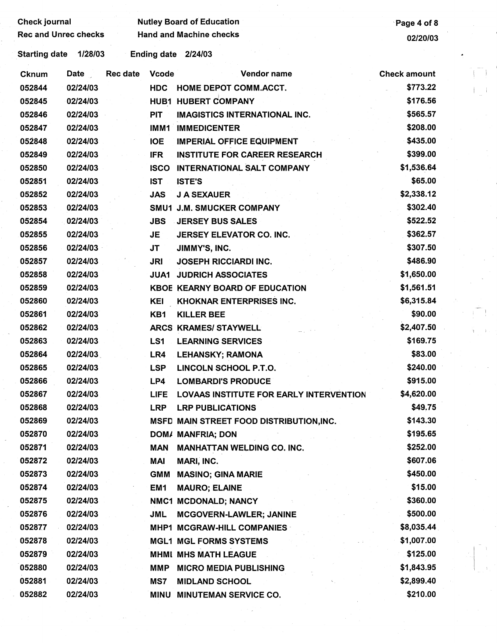| <b>Check journal</b>        |          |                 |                 | <b>Nutley Board of Education</b>         | Page 4 of 8         |  |
|-----------------------------|----------|-----------------|-----------------|------------------------------------------|---------------------|--|
| <b>Rec and Unrec checks</b> |          |                 |                 | <b>Hand and Machine checks</b>           | 02/20/03            |  |
| <b>Starting date</b>        | 1/28/03  |                 |                 | Ending date 2/24/03                      |                     |  |
| <b>Cknum</b>                | Date     | <b>Rec date</b> | <b>Vcode</b>    | Vendor name                              | <b>Check amount</b> |  |
| 052844                      | 02/24/03 |                 | <b>HDC</b>      | <b>HOME DEPOT COMM.ACCT.</b>             | \$773.22            |  |
| 052845                      | 02/24/03 |                 |                 | <b>HUB1 HUBERT COMPANY</b>               | \$176.56            |  |
| 052846                      | 02/24/03 |                 | <b>PIT</b>      | <b>IMAGISTICS INTERNATIONAL INC.</b>     | \$565.57            |  |
| 052847                      | 02/24/03 |                 | IMM1            | <b>IMMEDICENTER</b>                      | \$208.00            |  |
| 052848                      | 02/24/03 |                 | <b>IOE</b>      | <b>IMPERIAL OFFICE EQUIPMENT</b>         | \$435.00            |  |
| 052849                      | 02/24/03 |                 | <b>IFR</b>      | <b>INSTITUTE FOR CAREER RESEARCH</b>     | \$399.00            |  |
| 052850                      | 02/24/03 |                 | <b>ISCO</b>     | <b>INTERNATIONAL SALT COMPANY</b>        | \$1,536.64          |  |
| 052851                      | 02/24/03 |                 | <b>IST</b>      | <b>ISTE'S</b>                            | \$65.00             |  |
| 052852                      | 02/24/03 |                 | <b>JAS</b>      | <b>J A SEXAUER</b>                       | \$2,338.12          |  |
| 052853                      | 02/24/03 |                 |                 | SMU1 J.M. SMUCKER COMPANY                | \$302.40            |  |
| 052854                      | 02/24/03 |                 | <b>JBS</b>      | <b>JERSEY BUS SALES</b>                  | \$522.52            |  |
| 052855                      | 02/24/03 |                 | JE              | <b>JERSEY ELEVATOR CO. INC.</b>          | \$362.57            |  |
| 052856                      | 02/24/03 |                 | <b>JT</b>       | JIMMY'S, INC.                            | \$307.50            |  |
| 052857                      | 02/24/03 |                 | <b>JRI</b>      | <b>JOSEPH RICCIARDI INC.</b>             | \$486.90            |  |
| 052858                      | 02/24/03 |                 |                 | <b>JUA1 JUDRICH ASSOCIATES</b>           | \$1,650.00          |  |
| 052859                      | 02/24/03 |                 |                 | <b>KBOE KEARNY BOARD OF EDUCATION</b>    | \$1,561.51          |  |
| 052860                      | 02/24/03 |                 | KEI             | KHOKNAR ENTERPRISES INC.                 | \$6,315.84          |  |
| 052861                      | 02/24/03 |                 | KB1             | <b>KILLER BEE</b>                        | \$90.00             |  |
| 052862                      | 02/24/03 |                 |                 | ARCS KRAMES/STAYWELL                     | \$2,407.50          |  |
| 052863                      | 02/24/03 |                 | LS1             | <b>LEARNING SERVICES</b>                 | \$169.75            |  |
| 052864                      | 02/24/03 |                 | LR4             | <b>LEHANSKY; RAMONA</b>                  | \$83.00             |  |
| 052865                      | 02/24/03 |                 | <b>LSP</b>      | LINCOLN SCHOOL P.T.O.                    | \$240.00            |  |
| 052866                      | 02/24/03 |                 | LP4             | <b>LOMBARDI'S PRODUCE</b>                | \$915.00            |  |
| 052867                      | 02/24/03 |                 | <b>LIFE</b>     | LOVAAS INSTITUTE FOR EARLY INTERVENTION  | \$4,620.00          |  |
| 052868                      | 02/24/03 |                 | <b>LRP</b>      | <b>LRP PUBLICATIONS</b>                  | \$49.75             |  |
| 052869                      | 02/24/03 |                 |                 | MSFD MAIN STREET FOOD DISTRIBUTION, INC. | \$143.30            |  |
| 052870                      | 02/24/03 |                 |                 | <b>DOM/ MANFRIA; DON</b>                 | \$195.65            |  |
| 052871                      | 02/24/03 |                 | <b>MAN</b>      | <b>MANHATTAN WELDING CO. INC.</b>        | \$252.00            |  |
| 052872                      | 02/24/03 |                 | MAI             | MARI, INC.                               | \$607.06            |  |
| 052873                      | 02/24/03 |                 |                 | <b>GMM MASINO; GINA MARIE</b>            | \$450.00            |  |
| 052874                      | 02/24/03 |                 | EM <sub>1</sub> | <b>MAURO; ELAINE</b>                     | \$15.00             |  |
| 052875                      | 02/24/03 |                 |                 | NMC1 MCDONALD; NANCY                     | \$360.00            |  |
| 052876                      | 02/24/03 |                 | JML             | <b>MCGOVERN-LAWLER; JANINE</b>           | \$500.00            |  |
| 052877                      | 02/24/03 |                 |                 | MHP1 MCGRAW-HILL COMPANIES               | \$8,035.44          |  |
| 052878                      | 02/24/03 |                 |                 | <b>MGL1 MGL FORMS SYSTEMS</b>            | \$1,007.00          |  |
| 052879                      | 02/24/03 |                 |                 | <b>MHMI MHS MATH LEAGUE</b>              | \$125.00            |  |
| 052880                      | 02/24/03 |                 | <b>MMP</b>      | <b>MICRO MEDIA PUBLISHING</b>            | \$1,843.95          |  |
| 052881                      | 02/24/03 |                 | MS7             | <b>MIDLAND SCHOOL</b>                    | \$2,899.40          |  |
| 052882                      | 02/24/03 |                 |                 | MINU MINUTEMAN SERVICE CO.               | \$210.00            |  |
|                             |          |                 |                 |                                          |                     |  |

 $\left(\begin{array}{c} \frac{1}{\sqrt{2}} \\ \frac{1}{\sqrt{2}} \end{array}\right)_{\mathcal{M}_{\mathcal{M}}}$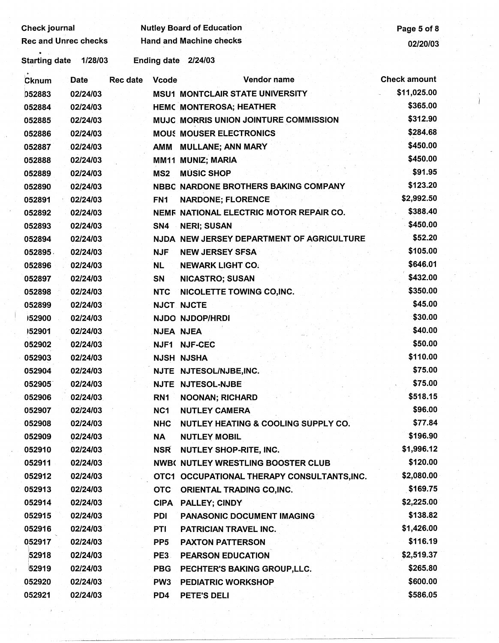| Check journal               |                 |                    | <b>Nutley Board of Education</b>               | Page 5 of 8         |
|-----------------------------|-----------------|--------------------|------------------------------------------------|---------------------|
| <b>Rec and Unrec checks</b> |                 |                    | <b>Hand and Machine checks</b>                 | 02/20/03            |
| <b>Starting date</b>        | 1/28/03         | <b>Ending date</b> | 2/24/03                                        |                     |
| <b>Date</b><br>Cknum        | <b>Rec date</b> | <b>Vcode</b>       | Vendor name                                    | <b>Check amount</b> |
| 052883                      | 02/24/03        |                    | <b>MSU1 MONTCLAIR STATE UNIVERSITY</b>         | \$11,025.00         |
| 052884                      | 02/24/03        |                    | <b>HEMC MONTEROSA; HEATHER</b>                 | \$365.00            |
| 052885                      | 02/24/03        |                    | MUJC MORRIS UNION JOINTURE COMMISSION          | \$312.90            |
| 052886                      | 02/24/03        |                    | <b>MOUS MOUSER ELECTRONICS</b>                 | \$284.68            |
| 052887                      | 02/24/03        | <b>AMM</b>         | <b>MULLANE; ANN MARY</b>                       | \$450.00            |
| 052888                      | 02/24/03        |                    | MM11 MUNIZ; MARIA                              | \$450.00            |
| 052889                      | 02/24/03        | MS <sub>2</sub>    | <b>MÚSIC SHOP</b>                              | \$91.95             |
| 052890                      | 02/24/03        |                    | NBBC NARDONE BROTHERS BAKING COMPANY           | \$123.20            |
| 052891                      | 02/24/03        | FN <sub>1</sub>    | <b>NARDONE; FLORENCE</b>                       | \$2,992.50          |
| 052892                      | 02/24/03        |                    | NEMF NATIONAL ELECTRIC MOTOR REPAIR CO.        | \$388.40            |
| 052893                      | 02/24/03        | SN4                | <b>NERI; SUSAN</b>                             | \$450.00            |
| 052894                      | 02/24/03        |                    | NJDA NEW JERSEY DEPARTMENT OF AGRICULTURE      | \$52.20             |
| 052895                      | 02/24/03        | <b>NJF</b>         | <b>NEW JERSEY SFSA</b>                         | \$105.00            |
| 052896                      | 02/24/03        | <b>NL</b>          | <b>NEWARK LIGHT CO.</b>                        | \$646.01            |
| 052897                      | 02/24/03        | <b>SN</b>          | <b>NICASTRO; SUSAN</b>                         | \$432.00            |
| 052898                      | 02/24/03        | <b>NTC</b>         | <b>NICOLETTE TOWING CO, INC.</b>               | \$350.00            |
| 052899                      | 02/24/03        |                    | <b>NJCT NJCTE</b>                              | \$45.00             |
| 152900                      | 02/24/03        |                    | <b>NJDO NJDOP/HRDI</b>                         | \$30.00             |
| 152901                      | 02/24/03        | <b>NJEA NJEA</b>   |                                                | \$40.00             |
| 052902                      | 02/24/03        | <b>NJF1</b>        | <b>NJF-CEC</b>                                 | \$50.00             |
| 052903                      | 02/24/03        |                    | <b>NJSH NJSHA</b>                              | \$110.00            |
| 052904                      | 02/24/03        |                    | NJTE NJTESOL/NJBE,INC.                         | \$75.00             |
| 052905                      | 02/24/03        |                    | NJTE NJTESOL-NJBE                              | \$75.00             |
| 052906                      | 02/24/03        | RN <sub>1</sub>    | <b>NOONAN; RICHARD</b>                         | \$518.15            |
| 052907                      | 02/24/03        | NC1                | <b>NUTLEY CAMERA</b>                           | \$96.00             |
| 052908                      | 02/24/03        | <b>NHC</b>         | <b>NUTLEY HEATING &amp; COOLING SUPPLY CO.</b> | \$77.84             |
| 052909                      | 02/24/03        | NA                 | <b>NUTLEY MOBIL</b>                            | \$196.90            |
| 052910                      | 02/24/03        | NSR                | <b>NUTLEY SHOP-RITE, INC.</b>                  | \$1,996.12          |
| 052911                      | 02/24/03        |                    | <b>NWB( NUTLEY WRESTLING BOOSTER CLUB</b>      | \$120.00            |
| 052912                      | 02/24/03        |                    | OTC1 OCCUPATIONAL THERAPY CONSULTANTS, INC.    | \$2,080.00          |
| 052913                      | 02/24/03        | <b>OTC</b>         | <b>ORIENTAL TRADING CO, INC.</b>               | \$169.75            |
| 052914                      | 02/24/03        |                    | CIPA PALLEY; CINDY                             | \$2,225.00          |
| 052915                      | 02/24/03        | <b>PDI</b>         | <b>PANASONIC DOCUMENT IMAGING</b>              | \$138.82            |
| 052916                      | 02/24/03        | PTI                | PATRICIAN TRAVEL INC.                          | \$1,426.00          |
| 052917                      | 02/24/03        | PP <sub>5</sub>    | <b>PAXTON PATTERSON</b>                        | \$116.19            |
| 52918                       | 02/24/03        | PE3                | <b>PEARSON EDUCATION</b>                       | \$2,519.37          |
| 52919                       | 02/24/03        | <b>PBG</b>         | PECHTER'S BAKING GROUP, LLC.                   | \$265.80            |
| 052920                      | 02/24/03        | PW <sub>3</sub>    | <b>PEDIATRIC WORKSHOP</b>                      | \$600.00            |
| 052921                      | 02/24/03        | PD4                | PETE'S DELI                                    | \$586.05            |

 $\frac{1}{2}$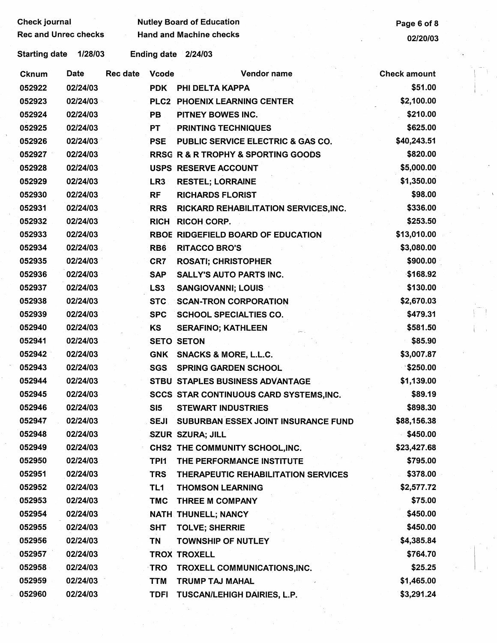| <b>Check journal</b><br><b>Rec and Unrec checks</b> |          |                 |                    | <b>Nutley Board of Education</b><br><b>Hand and Machine checks</b> | Page 6 of 8<br>02/20/03 |
|-----------------------------------------------------|----------|-----------------|--------------------|--------------------------------------------------------------------|-------------------------|
| <b>Starting date</b>                                | 1/28/03  |                 | <b>Ending date</b> | 2/24/03                                                            |                         |
| <b>Cknum</b>                                        | Date     | <b>Rec date</b> | <b>Vcode</b>       | Vendor name                                                        | <b>Check amount</b>     |
| 052922                                              | 02/24/03 |                 | <b>PDK</b>         | <b>PHI DELTA KAPPA</b>                                             | \$51.00                 |
| 052923                                              | 02/24/03 |                 |                    | PLC2 PHOENIX LEARNING CENTER                                       | \$2,100.00              |
| 052924                                              | 02/24/03 |                 | <b>PB</b>          | <b>PITNEY BOWES INC.</b>                                           | \$210.00                |
| 052925                                              | 02/24/03 |                 | <b>PT</b>          | <b>PRINTING TECHNIQUES</b>                                         | \$625.00                |
| 052926                                              | 02/24/03 |                 | <b>PSE</b>         | <b>PUBLIC SERVICE ELECTRIC &amp; GAS CO.</b>                       | \$40,243.51             |
| 052927                                              | 02/24/03 |                 |                    | <b>RRSG R &amp; R TROPHY &amp; SPORTING GOODS</b>                  | \$820.00                |
| 052928                                              | 02/24/03 |                 |                    | <b>USPS RESERVE ACCOUNT</b>                                        | \$5,000.00              |
| 052929                                              | 02/24/03 |                 | LR <sub>3</sub>    | <b>RESTEL; LORRAINE</b>                                            | \$1,350.00              |
| 052930                                              | 02/24/03 |                 | <b>RF</b>          | <b>RICHARDS FLORIST</b>                                            | \$98.00                 |
| 052931                                              | 02/24/03 |                 | <b>RRS</b>         | RICKARD REHABILITATION SERVICES, INC.                              | \$336.00                |
| 052932                                              | 02/24/03 |                 | <b>RICH</b>        | <b>RICOH CORP.</b>                                                 | \$253.50                |
| 052933                                              | 02/24/03 |                 |                    | RBOE RIDGEFIELD BOARD OF EDUCATION                                 | \$13,010.00             |
| 052934                                              | 02/24/03 |                 | RB <sub>6</sub>    | <b>RITACCO BRO'S</b>                                               | \$3,080.00              |
| 052935                                              | 02/24/03 |                 | CR7                | <b>ROSATI; CHRISTOPHER</b>                                         | \$900.00                |
| 052936                                              | 02/24/03 |                 | <b>SAP</b>         | <b>SALLY'S AUTO PARTS INC.</b>                                     | \$168.92                |
| 052937                                              | 02/24/03 |                 | LS <sub>3</sub>    | <b>SANGIOVANNI; LOUIS</b>                                          | \$130.00                |
| 052938                                              | 02/24/03 |                 | STC.               | <b>SCAN-TRON CORPORATION</b>                                       | \$2,670.03              |
| 052939                                              | 02/24/03 |                 | <b>SPC</b>         | <b>SCHOOL SPECIALTIES CO.</b>                                      | \$479.31                |
| 052940                                              | 02/24/03 |                 | KS                 | <b>SERAFINO; KATHLEEN</b>                                          | \$581.50                |
| 052941                                              | 02/24/03 |                 |                    | <b>SETO SETON</b>                                                  | \$85.90                 |
| 052942                                              | 02/24/03 |                 | <b>GNK</b>         | SNACKS & MORE, L.L.C.                                              | \$3,007.87              |
| 052943                                              | 02/24/03 |                 | <b>SGS</b>         | <b>SPRING GARDEN SCHOOL</b>                                        | $\sqrt{250.00}$         |
| 052944                                              | 02/24/03 |                 |                    | <b>STBU STAPLES BUSINESS ADVANTAGE</b>                             | \$1,139.00              |
| 052945                                              | 02/24/03 |                 |                    | <b>SCCS STAR CONTINUOUS CARD SYSTEMS, INC.</b>                     | \$89.19                 |
| 052946                                              | 02/24/03 |                 | SI5                | <b>STEWART INDUSTRIES</b>                                          | \$898.30                |
| 052947                                              | 02/24/03 |                 | SEJI               | SUBURBAN ESSEX JOINT INSURANCE FUND                                | \$88,156.38             |
| 052948                                              | 02/24/03 |                 |                    | <b>SZUR SZURA; JILL</b>                                            | \$450.00                |
| 052949                                              | 02/24/03 |                 |                    | CHS2 THE COMMUNITY SCHOOL, INC.                                    | \$23,427.68             |
| 052950                                              | 02/24/03 |                 | TPI1               | THE PERFORMANCE INSTITUTE                                          | \$795.00                |
| 052951                                              | 02/24/03 |                 | <b>TRS</b>         | THERAPEUTIC REHABILITATION SERVICES                                | \$378.00                |
| 052952                                              | 02/24/03 |                 | TL <sub>1</sub>    | <b>THOMSON LEARNING</b>                                            | \$2,577.72              |
| 052953                                              | 02/24/03 |                 | <b>TMC</b>         | <b>THREE M COMPANY</b>                                             | \$75.00                 |
| 052954                                              | 02/24/03 |                 |                    | <b>NATH THUNELL; NANCY</b>                                         | \$450.00                |
| 052955                                              | 02/24/03 |                 | <b>SHT</b>         | <b>TOLVE; SHERRIE</b>                                              | \$450.00                |
| 052956                                              | 02/24/03 |                 | ΤN                 | <b>TOWNSHIP OF NUTLEY</b>                                          | \$4,385.84              |
| 052957                                              | 02/24/03 |                 |                    | <b>TROX TROXELL</b>                                                | \$764.70                |
| 052958                                              | 02/24/03 |                 | TRO                | TROXELL COMMUNICATIONS, INC.                                       | \$25.25                 |
| 052959                                              | 02/24/03 |                 | <b>TTM</b>         | TRUMP TAJ MAHAL                                                    | \$1,465.00              |
| 052960                                              | 02/24/03 |                 | <b>TDFI</b>        | TUSCAN/LEHIGH DAIRIES, L.P.                                        | \$3,291.24              |
|                                                     |          |                 |                    |                                                                    |                         |

 $\frac{1}{2}$  .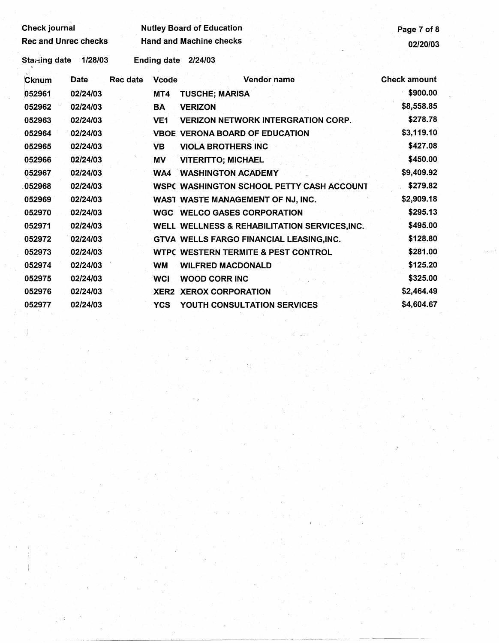| <b>Check journal</b> |                             |                     | <b>Nutley Board of Education</b>              | Page 7 of 8         |
|----------------------|-----------------------------|---------------------|-----------------------------------------------|---------------------|
|                      | <b>Rec and Unrec checks</b> |                     | <b>Hand and Machine checks</b>                | 02/20/03            |
| <b>Stanting date</b> | 1/28/03                     | Ending date 2/24/03 |                                               |                     |
| Cknum                | Date<br>Rec date            | <b>Vcode</b>        | Vendor name                                   | <b>Check amount</b> |
| 052961               | 02/24/03                    | MT4                 | <b>TUSCHE; MARISA</b>                         | \$900.00            |
| 052962               | 02/24/03                    | BÀ                  | <b>VERIZON</b>                                | \$8,558.85          |
| 052963               | 02/24/03                    | <b>VE1</b>          | <b>VERIZON NETWORK INTERGRATION CORP.</b>     | \$278.78            |
| 052964               | 02/24/03                    |                     | <b>VBOE VERONA BOARD OF EDUCATION</b>         | \$3,119.10          |
| 052965               | 02/24/03                    | VB.                 | <b>VIOLA BROTHERS INC</b>                     | \$427.08            |
| 052966               | 02/24/03                    | <b>MV</b>           | <b>VITERITTO; MICHAEL</b>                     | \$450.00            |
| 052967               | 02/24/03                    | <b>WA4</b>          | <b>WASHINGTON ACADEMY</b>                     | \$9,409.92          |
| 052968               | 02/24/03                    |                     | WSPC WASHINGTON SCHOOL PETTY CASH ACCOUNT     | \$279.82            |
| 052969               | 02/24/03                    |                     | WAST WASTE MANAGEMENT OF NJ, INC.             | \$2,909.18          |
| 052970               | 02/24/03                    |                     | <b>WGC WELCO GASES CORPORATION</b>            | \$295.13            |
| 052971               | 02/24/03                    |                     | WELL WELLNESS & REHABILITATION SERVICES, INC. | \$495.00            |
| 052972               | 02/24/03                    |                     | GTVA WELLS FARGO FINANCIAL LEASING, INC.      | \$128.80            |
| 052973               | 02/24/03                    |                     | WTPC WESTERN TERMITE & PEST CONTROL           | \$281.00            |
| 052974               | 02/24/03                    | <b>WM</b>           | <b>WILFRED MACDONALD</b>                      | \$125.20            |
| 052975               | 02/24/03                    | <b>WCI</b>          | <b>WOOD CORR INC</b>                          | \$325.00            |
| 052976               | 02/24/03                    | XER2                | <b>XEROX CORPORATION</b>                      | \$2,464.49          |
| 052977               | 02/24/03                    | <b>YCS</b>          | YOUTH CONSULTATION SERVICES                   | \$4,604.67          |

... ----·-····-----·-- ----·